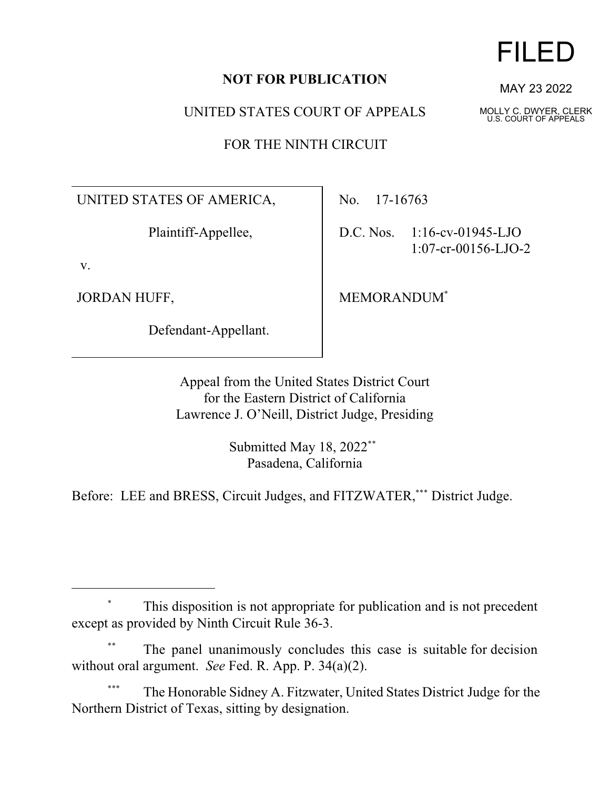## **NOT FOR PUBLICATION**

UNITED STATES COURT OF APPEALS

FOR THE NINTH CIRCUIT

UNITED STATES OF AMERICA,

Plaintiff-Appellee,

v.

JORDAN HUFF,

Defendant-Appellant.

No. 17-16763

D.C. Nos. 1:16-cv-01945-LJO 1:07-cr-00156-LJO-2

MEMORANDUM\*

Appeal from the United States District Court for the Eastern District of California Lawrence J. O'Neill, District Judge, Presiding

> Submitted May 18, 2022<sup>\*\*</sup> Pasadena, California

Before: LEE and BRESS, Circuit Judges, and FITZWATER,\*\*\* District Judge.

The Honorable Sidney A. Fitzwater, United States District Judge for the Northern District of Texas, sitting by designation.



MAY 23 2022

MOLLY C. DWYER, CLERK U.S. COURT OF APPEALS

<sup>\*</sup> This disposition is not appropriate for publication and is not precedent except as provided by Ninth Circuit Rule 36-3.

The panel unanimously concludes this case is suitable for decision without oral argument. *See* Fed. R. App. P. 34(a)(2).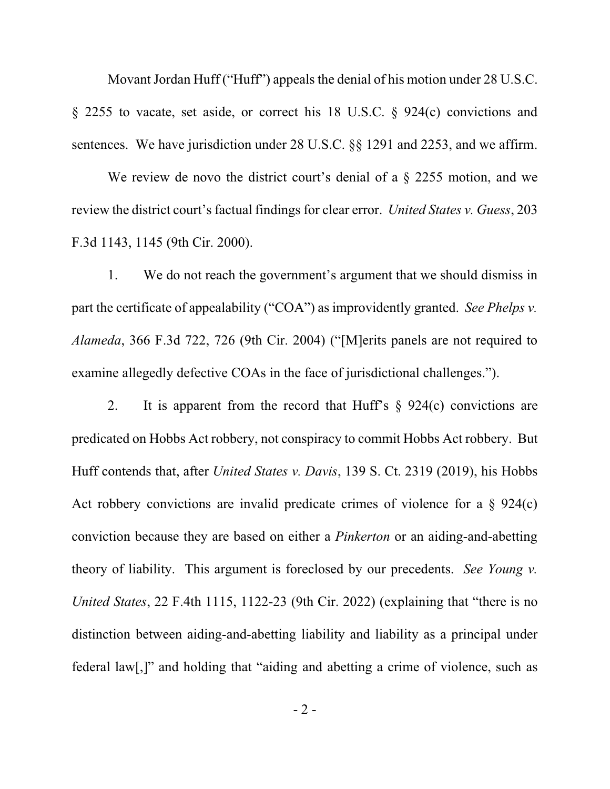Movant Jordan Huff ("Huff") appeals the denial of his motion under 28 U.S.C. § 2255 to vacate, set aside, or correct his 18 U.S.C. § 924(c) convictions and sentences. We have jurisdiction under 28 U.S.C. §§ 1291 and 2253, and we affirm.

We review de novo the district court's denial of a  $\S$  2255 motion, and we review the district court's factual findings for clear error. *United States v. Guess*, 203 F.3d 1143, 1145 (9th Cir. 2000).

1. We do not reach the government's argument that we should dismiss in part the certificate of appealability ("COA") as improvidently granted. *See Phelps v. Alameda*, 366 F.3d 722, 726 (9th Cir. 2004) ("[M]erits panels are not required to examine allegedly defective COAs in the face of jurisdictional challenges.").

2. It is apparent from the record that Huff's  $\S$  924(c) convictions are predicated on Hobbs Act robbery, not conspiracy to commit Hobbs Act robbery. But Huff contends that, after *United States v. Davis*, 139 S. Ct. 2319 (2019), his Hobbs Act robbery convictions are invalid predicate crimes of violence for a  $\S$  924(c) conviction because they are based on either a *Pinkerton* or an aiding-and-abetting theory of liability. This argument is foreclosed by our precedents. *See Young v. United States*, 22 F.4th 1115, 1122-23 (9th Cir. 2022) (explaining that "there is no distinction between aiding-and-abetting liability and liability as a principal under federal law[,]" and holding that "aiding and abetting a crime of violence, such as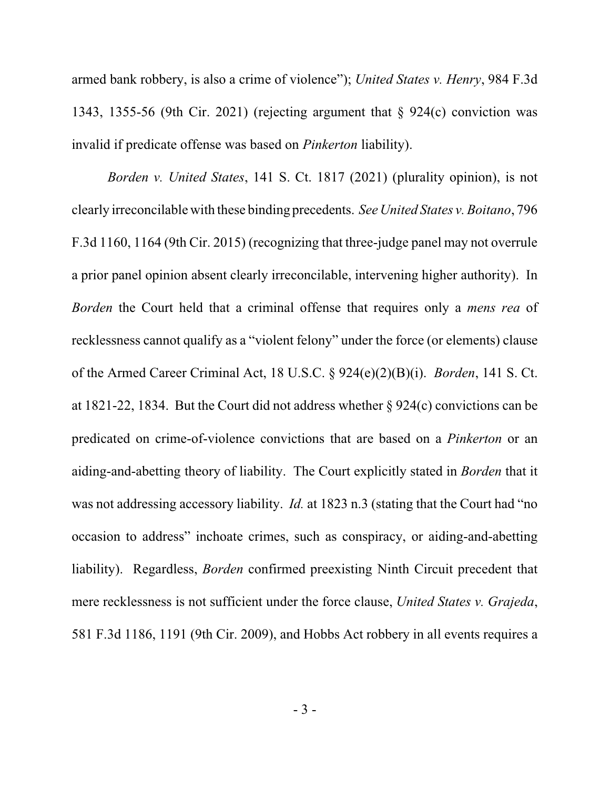armed bank robbery, is also a crime of violence"); *United States v. Henry*, 984 F.3d 1343, 1355-56 (9th Cir. 2021) (rejecting argument that § 924(c) conviction was invalid if predicate offense was based on *Pinkerton* liability).

*Borden v. United States*, 141 S. Ct. 1817 (2021) (plurality opinion), is not clearly irreconcilable with these binding precedents. *See United States v. Boitano*, 796 F.3d 1160, 1164 (9th Cir. 2015) (recognizing that three-judge panel may not overrule a prior panel opinion absent clearly irreconcilable, intervening higher authority). In *Borden* the Court held that a criminal offense that requires only a *mens rea* of recklessness cannot qualify as a "violent felony" under the force (or elements) clause of the Armed Career Criminal Act, 18 U.S.C. § 924(e)(2)(B)(i). *Borden*, 141 S. Ct. at 1821-22, 1834. But the Court did not address whether § 924(c) convictions can be predicated on crime-of-violence convictions that are based on a *Pinkerton* or an aiding-and-abetting theory of liability. The Court explicitly stated in *Borden* that it was not addressing accessory liability. *Id.* at 1823 n.3 (stating that the Court had "no occasion to address" inchoate crimes, such as conspiracy, or aiding-and-abetting liability). Regardless, *Borden* confirmed preexisting Ninth Circuit precedent that mere recklessness is not sufficient under the force clause, *United States v. Grajeda*, 581 F.3d 1186, 1191 (9th Cir. 2009), and Hobbs Act robbery in all events requires a